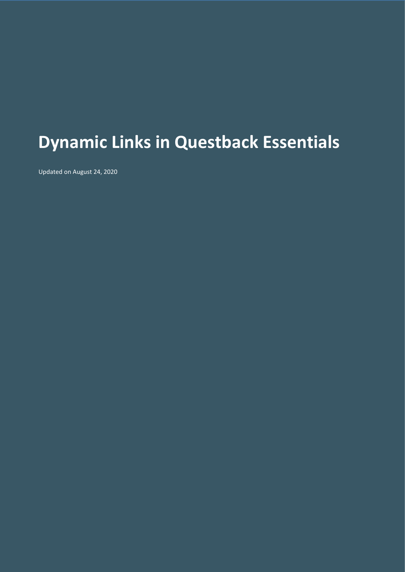# **Dynamic Links in Questback Essentials**

Updated on August 24, 2020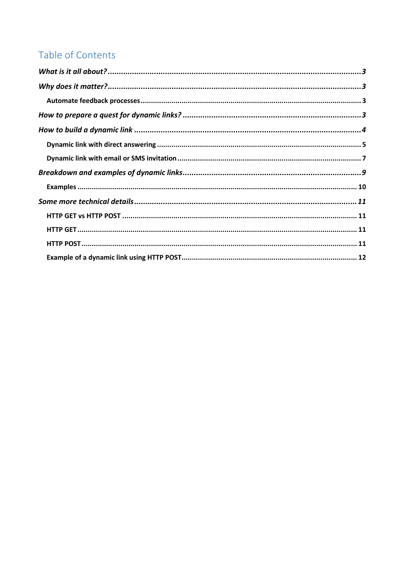# Table of Contents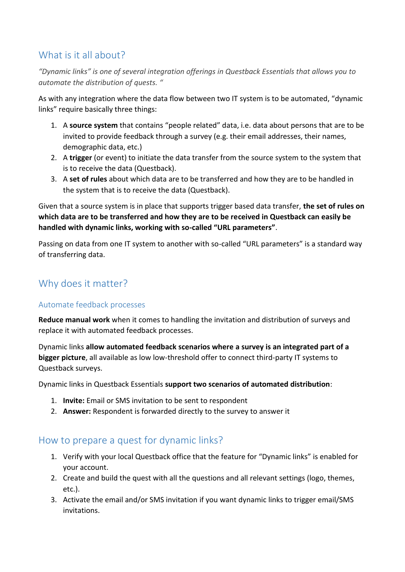# <span id="page-2-0"></span>What is it all about?

*"Dynamic links" is one of several integration offerings in Questback Essentials that allows you to automate the distribution of quests. "*

As with any integration where the data flow between two IT system is to be automated, "dynamic links" require basically three things:

- 1. A **source system** that contains "people related" data, i.e. data about persons that are to be invited to provide feedback through a survey (e.g. their email addresses, their names, demographic data, etc.)
- 2. A **trigger** (or event) to initiate the data transfer from the source system to the system that is to receive the data (Questback).
- 3. A **set of rules** about which data are to be transferred and how they are to be handled in the system that is to receive the data (Questback).

Given that a source system is in place that supports trigger based data transfer, **the set of rules on which data are to be transferred and how they are to be received in Questback can easily be handled with dynamic links, working with so-called "URL parameters"**.

Passing on data from one IT system to another with so-called "URL parameters" is a standard way of transferring data.

# <span id="page-2-1"></span>Why does it matter?

#### <span id="page-2-2"></span>Automate feedback processes

**Reduce manual work** when it comes to handling the invitation and distribution of surveys and replace it with automated feedback processes.

Dynamic links **allow automated feedback scenarios where a survey is an integrated part of a bigger picture**, all available as low low-threshold offer to connect third-party IT systems to Questback surveys.

Dynamic links in Questback Essentials **support two scenarios of automated distribution**:

- 1. **Invite:** Email or SMS invitation to be sent to respondent
- 2. **Answer:** Respondent is forwarded directly to the survey to answer it

### <span id="page-2-3"></span>How to prepare a quest for dynamic links?

- 1. Verify with your local Questback office that the feature for "Dynamic links" is enabled for your account.
- 2. Create and build the quest with all the questions and all relevant settings (logo, themes, etc.).
- 3. Activate the email and/or SMS invitation if you want dynamic links to trigger email/SMS invitations.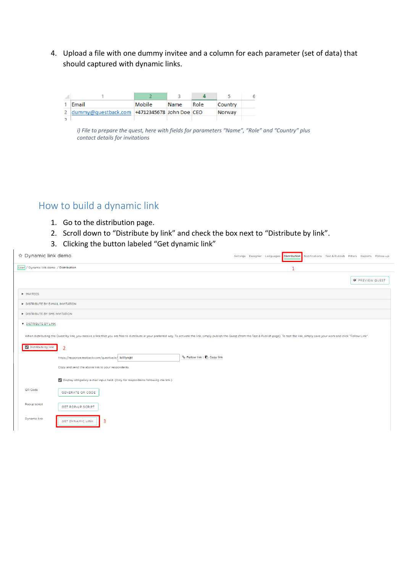4. Upload a file with one dummy invitee and a column for each parameter (set of data) that should captured with dynamic links.

| <b>Email</b>                                   | Mobile | Name | Role | Country |  |
|------------------------------------------------|--------|------|------|---------|--|
| dummy@questback.com   +4712345678 John Doe CEO |        |      |      | Norway  |  |
|                                                |        |      |      |         |  |

*i) File to prepare the quest, here with fields for parameters "Name", "Role" and "Country" plus contact details for invitations*

# <span id="page-3-0"></span>How to build a dynamic link

- 1. Go to the distribution page.
- 2. Scroll down to "Distribute by link" and check the box next to "Distribute by link".
- 3. Clicking the button labeled "Get dynamic link"

| ☆ Dynamic link demo                                                                                                                                                                                                            | Settings Designer Languages Distribution Notifications Test & Publish Filters Reports Follow-up |
|--------------------------------------------------------------------------------------------------------------------------------------------------------------------------------------------------------------------------------|-------------------------------------------------------------------------------------------------|
| User / Dynamic link demo / Distribution                                                                                                                                                                                        | 1                                                                                               |
|                                                                                                                                                                                                                                | <b>O</b> PREVIEW QUEST                                                                          |
| INVITEES                                                                                                                                                                                                                       |                                                                                                 |
| DISTRIBUTE BY E-MAIL INVITATION                                                                                                                                                                                                |                                                                                                 |
| DISTRIBUTE BY SMS INVITATION                                                                                                                                                                                                   |                                                                                                 |
| <b>V</b> DISTRIBUTE BY LINK                                                                                                                                                                                                    |                                                                                                 |
| When distributing the Quest by link, you receive a link that you are free to distribute in your preferred way. To activate the link, simply publish the Quest (from the Test & Publish page). To test the link, simply save yo |                                                                                                 |
| V Distribute by link<br>$\overline{2}$                                                                                                                                                                                         |                                                                                                 |
| % Follow link   <b>■</b> Copy link<br>https://response.testback.com/questback/ lic81ynqkt                                                                                                                                      |                                                                                                 |
| Copy and send the above link to your respondents.                                                                                                                                                                              |                                                                                                 |
| Display obligatory e-mail input field. (Only for respondents following the link.)                                                                                                                                              |                                                                                                 |
| QR Code<br>GENERATE QR CODE                                                                                                                                                                                                    |                                                                                                 |
| Popup script<br><b>GET POP-UP SCRIPT</b>                                                                                                                                                                                       |                                                                                                 |
| <b>Dynamic link</b><br>3<br><b>GET DYNAMIC LINK</b>                                                                                                                                                                            |                                                                                                 |
|                                                                                                                                                                                                                                |                                                                                                 |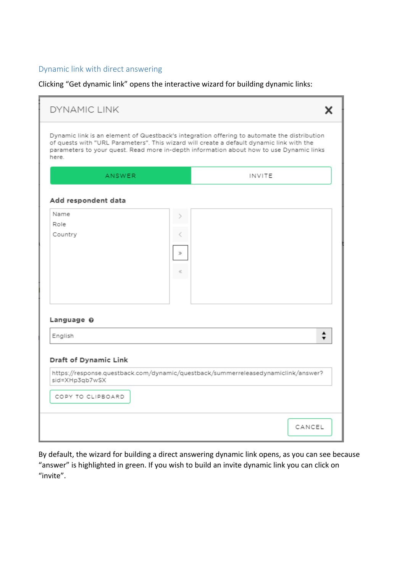#### <span id="page-4-0"></span>Dynamic link with direct answering

Clicking "Get dynamic link" opens the interactive wizard for building dynamic links:

| ANSWER                                                       |                      | INVITE                                                                            |
|--------------------------------------------------------------|----------------------|-----------------------------------------------------------------------------------|
| Add respondent data<br>Name<br>Role<br>Country               | $\mathfrak{D}$<br>C. |                                                                                   |
| Language 0<br>English                                        |                      | $\blacksquare$                                                                    |
| Draft of Dynamic Link<br>sid=XHp3qb7wSX<br>COPY TO CLIPBOARD |                      | https://response.questback.com/dynamic/questback/summerreleasedynamiclink/answer? |

By default, the wizard for building a direct answering dynamic link opens, as you can see because "answer" is highlighted in green. If you wish to build an invite dynamic link you can click on "invite".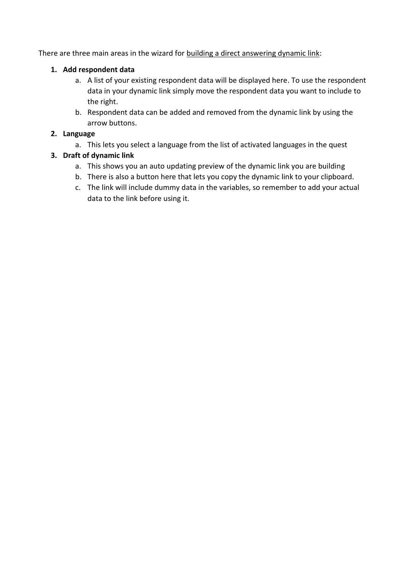There are three main areas in the wizard for building a direct answering dynamic link:

#### **1. Add respondent data**

- a. A list of your existing respondent data will be displayed here. To use the respondent data in your dynamic link simply move the respondent data you want to include to the right.
- b. Respondent data can be added and removed from the dynamic link by using the arrow buttons.

#### **2. Language**

a. This lets you select a language from the list of activated languages in the quest

#### **3. Draft of dynamic link**

- a. This shows you an auto updating preview of the dynamic link you are building
- b. There is also a button here that lets you copy the dynamic link to your clipboard.
- c. The link will include dummy data in the variables, so remember to add your actual data to the link before using it.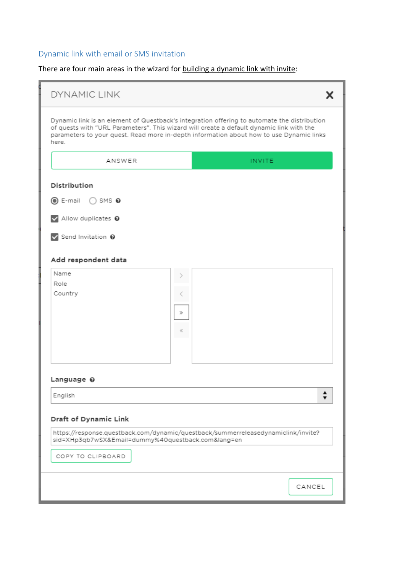# <span id="page-6-0"></span>Dynamic link with email or SMS invitation

There are four main areas in the wizard for building a dynamic link with invite:

| <b>DYNAMIC LINK</b>                                                                                                                                                                                                                                                                         |       |               |                |  |
|---------------------------------------------------------------------------------------------------------------------------------------------------------------------------------------------------------------------------------------------------------------------------------------------|-------|---------------|----------------|--|
| Dynamic link is an element of Questback's integration offering to automate the distribution<br>of quests with "URL Parameters". This wizard will create a default dynamic link with the<br>parameters to your quest. Read more in-depth information about how to use Dynamic links<br>here. |       |               |                |  |
| ANSWER                                                                                                                                                                                                                                                                                      |       | <b>INVITE</b> |                |  |
| Distribution                                                                                                                                                                                                                                                                                |       |               |                |  |
| $\circledcirc$ E-mail $\circledcirc$ SMS $\circledcirc$                                                                                                                                                                                                                                     |       |               |                |  |
| Allow duplicates @                                                                                                                                                                                                                                                                          |       |               |                |  |
| Send Invitation @                                                                                                                                                                                                                                                                           |       |               |                |  |
| Add respondent data                                                                                                                                                                                                                                                                         |       |               |                |  |
| Name                                                                                                                                                                                                                                                                                        |       |               |                |  |
| Role<br>Country                                                                                                                                                                                                                                                                             |       |               |                |  |
|                                                                                                                                                                                                                                                                                             | Ď     |               |                |  |
|                                                                                                                                                                                                                                                                                             |       |               |                |  |
|                                                                                                                                                                                                                                                                                             | $\ll$ |               |                |  |
|                                                                                                                                                                                                                                                                                             |       |               |                |  |
|                                                                                                                                                                                                                                                                                             |       |               |                |  |
| Language 0                                                                                                                                                                                                                                                                                  |       |               |                |  |
| English                                                                                                                                                                                                                                                                                     |       |               | $\blacksquare$ |  |
| Draft of Dynamic Link                                                                                                                                                                                                                                                                       |       |               |                |  |
| https://response.questback.com/dynamic/questback/summerreleasedynamiclink/invite?<br>sid=XHp3qb7wSX&Email=dummy%40questback.com⟨=en                                                                                                                                                         |       |               |                |  |
| COPY TO CLIPBOARD                                                                                                                                                                                                                                                                           |       |               |                |  |
|                                                                                                                                                                                                                                                                                             |       |               | CANCEL         |  |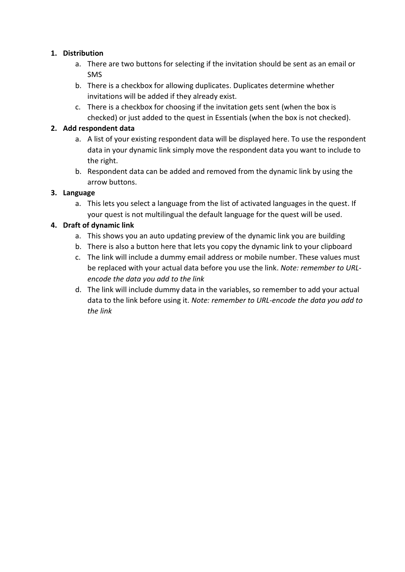#### **1. Distribution**

- a. There are two buttons for selecting if the invitation should be sent as an email or SMS
- b. There is a checkbox for allowing duplicates. Duplicates determine whether invitations will be added if they already exist.
- c. There is a checkbox for choosing if the invitation gets sent (when the box is checked) or just added to the quest in Essentials (when the box is not checked).

#### **2. Add respondent data**

- a. A list of your existing respondent data will be displayed here. To use the respondent data in your dynamic link simply move the respondent data you want to include to the right.
- b. Respondent data can be added and removed from the dynamic link by using the arrow buttons.

#### **3. Language**

a. This lets you select a language from the list of activated languages in the quest. If your quest is not multilingual the default language for the quest will be used.

#### **4. Draft of dynamic link**

- a. This shows you an auto updating preview of the dynamic link you are building
- b. There is also a button here that lets you copy the dynamic link to your clipboard
- c. The link will include a dummy email address or mobile number. These values must be replaced with your actual data before you use the link. *Note: remember to URLencode the data you add to the link*
- d. The link will include dummy data in the variables, so remember to add your actual data to the link before using it. *Note: remember to URL-encode the data you add to the link*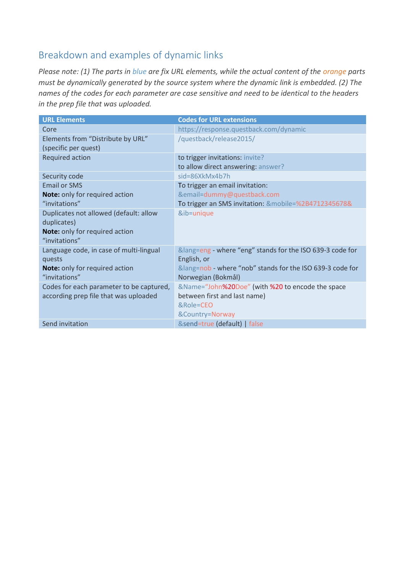# <span id="page-8-0"></span>Breakdown and examples of dynamic links

*Please note: (1) The parts in blue are fix URL elements, while the actual content of the orange parts must be dynamically generated by the source system where the dynamic link is embedded. (2) The names of the codes for each parameter are case sensitive and need to be identical to the headers in the prep file that was uploaded.*

| <b>URL Elements</b>                      | <b>Codes for URL extensions</b>                       |
|------------------------------------------|-------------------------------------------------------|
| Core                                     | https://response.questback.com/dynamic                |
| Elements from "Distribute by URL"        | /questback/release2015/                               |
| (specific per quest)                     |                                                       |
| Required action                          | to trigger invitations: invite?                       |
|                                          | to allow direct answering: answer?                    |
| Security code                            | sid=86XkMx4b7h                                        |
| <b>Email or SMS</b>                      | To trigger an email invitation:                       |
| Note: only for required action           | &email=dummy@questback.com                            |
| "invitations"                            | To trigger an SMS invitation: &mobile=%2B4712345678&  |
| Duplicates not allowed (default: allow   | &ib=unique                                            |
| duplicates)                              |                                                       |
| Note: only for required action           |                                                       |
| "invitations"                            |                                                       |
| Language code, in case of multi-lingual  | ⟨=eng - where "eng" stands for the ISO 639-3 code for |
| quests                                   | English, or                                           |
| <b>Note:</b> only for required action    | ⟨=nob - where "nob" stands for the ISO 639-3 code for |
| "invitations"                            | Norwegian (Bokmål)                                    |
| Codes for each parameter to be captured, | &Name="John%20Doe" (with %20 to encode the space      |
| according prep file that was uploaded    | between first and last name)                          |
|                                          | &Role=CEO                                             |
|                                          | &Country=Norway                                       |
| Send invitation                          | &send=true (default)   false                          |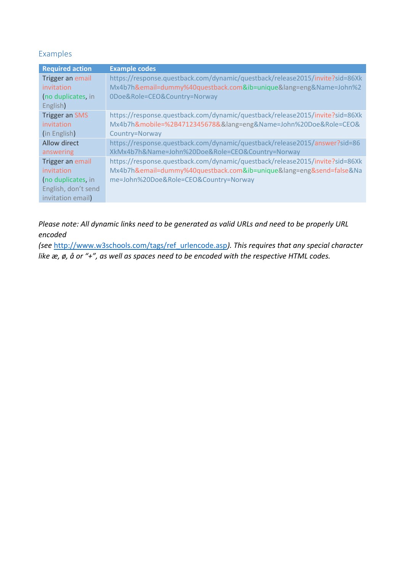#### <span id="page-9-0"></span>Examples

| <b>Required action</b> | <b>Example codes</b>                                                         |
|------------------------|------------------------------------------------------------------------------|
| Trigger an email       | https://response.questback.com/dynamic/questback/release2015/invite?sid=86Xk |
| invitation             | Mx4b7h&email=dummy%40questback.com&ib=unique⟨=eng&Name=John%2                |
| (no duplicates, in     | 0Doe&Role=CEO&Country=Norway                                                 |
| English)               |                                                                              |
| <b>Trigger an SMS</b>  | https://response.questback.com/dynamic/questback/release2015/invite?sid=86Xk |
| invitation             | Mx4b7h&mobile=%2B4712345678&⟨=eng&Name=John%20Doe&Role=CEO&                  |
| (in English)           | Country=Norway                                                               |
| Allow direct           | https://response.questback.com/dynamic/questback/release2015/answer?sid=86   |
| answering              | XkMx4b7h&Name=John%20Doe&Role=CEO&Country=Norway                             |
| Trigger an email       | https://response.questback.com/dynamic/questback/release2015/invite?sid=86Xk |
| invitation             | Mx4b7h&email=dummy%40questback.com&ib=unique⟨=eng&send=false&Na              |
| (no duplicates, in     | me=John%20Doe&Role=CEO&Country=Norway                                        |
| English, don't send    |                                                                              |
| invitation email)      |                                                                              |

*Please note: All dynamic links need to be generated as valid URLs and need to be properly URL encoded*

*(see* [http://www.w3schools.com/tags/ref\\_urlencode.asp](http://www.w3schools.com/tags/ref_urlencode.asp)*). This requires that any special character like æ, ø, å or "+", as well as spaces need to be encoded with the respective HTML codes.*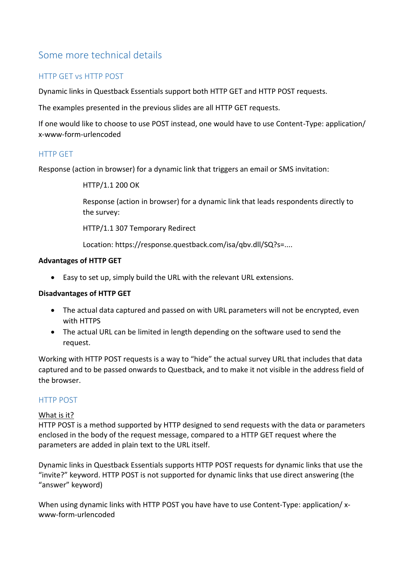# <span id="page-10-0"></span>Some more technical details

#### <span id="page-10-1"></span>HTTP GET vs HTTP POST

Dynamic links in Questback Essentials support both HTTP GET and HTTP POST requests.

The examples presented in the previous slides are all HTTP GET requests.

If one would like to choose to use POST instead, one would have to use Content-Type: application/ x-www-form-urlencoded

#### <span id="page-10-2"></span>HTTP GET

Response (action in browser) for a dynamic link that triggers an email or SMS invitation:

HTTP/1.1 200 OK

Response (action in browser) for a dynamic link that leads respondents directly to the survey:

HTTP/1.1 307 Temporary Redirect

Location: https://response.questback.com/isa/qbv.dll/SQ?s=....

#### **Advantages of HTTP GET**

• Easy to set up, simply build the URL with the relevant URL extensions.

#### **Disadvantages of HTTP GET**

- The actual data captured and passed on with URL parameters will not be encrypted, even with HTTPS
- The actual URL can be limited in length depending on the software used to send the request.

Working with HTTP POST requests is a way to "hide" the actual survey URL that includes that data captured and to be passed onwards to Questback, and to make it not visible in the address field of the browser.

#### <span id="page-10-3"></span>HTTP POST

#### What is it?

HTTP POST is a method supported by HTTP designed to send requests with the data or parameters enclosed in the body of the request message, compared to a HTTP GET request where the parameters are added in plain text to the URL itself.

Dynamic links in Questback Essentials supports HTTP POST requests for dynamic links that use the "invite?" keyword. HTTP POST is not supported for dynamic links that use direct answering (the "answer" keyword)

When using dynamic links with HTTP POST you have have to use Content-Type: application/ xwww-form-urlencoded